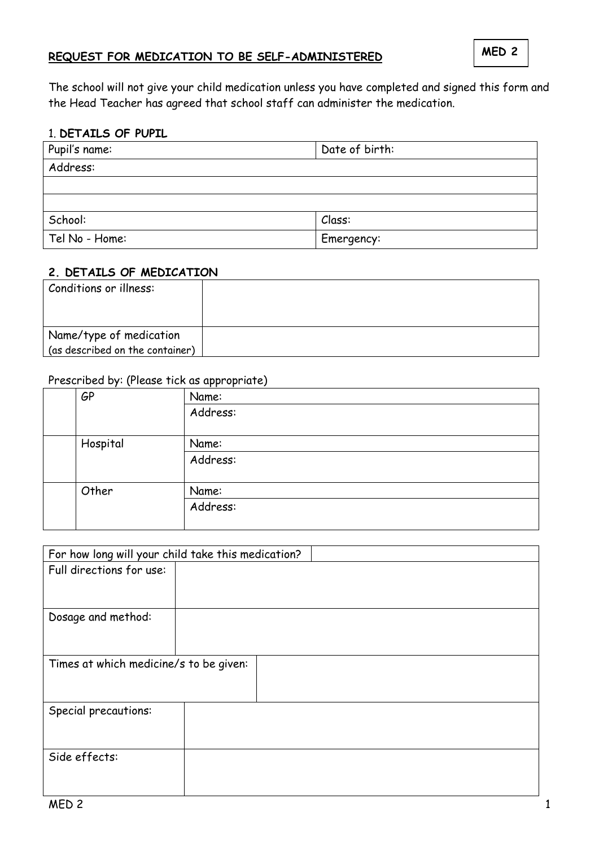# **REQUEST FOR MEDICATION TO BE SELF-ADMINISTERED**

The school will not give your child medication unless you have completed and signed this form and the Head Teacher has agreed that school staff can administer the medication.

#### 1. **DETAILS OF PUPIL**

| Pupil's name:  | Date of birth: |
|----------------|----------------|
| Address:       |                |
|                |                |
|                |                |
| School:        | Class:         |
| Tel No - Home: | Emergency:     |

#### **2. DETAILS OF MEDICATION**

| Conditions or illness:                                     |  |
|------------------------------------------------------------|--|
| Name/type of medication<br>(as described on the container) |  |

# Prescribed by: (Please tick as appropriate)

|          | . .<br><b>GP</b> | $\sim$ $\sim$<br>Name: |
|----------|------------------|------------------------|
|          |                  | Address:               |
| Hospital |                  | Name:                  |
|          |                  | Address:               |
|          | Other            | Name:                  |
|          |                  | Address:               |

| For how long will your child take this medication? |  |  |  |  |
|----------------------------------------------------|--|--|--|--|
| Full directions for use:                           |  |  |  |  |
|                                                    |  |  |  |  |
| Dosage and method:                                 |  |  |  |  |
| Times at which medicine/s to be given:             |  |  |  |  |
|                                                    |  |  |  |  |
| Special precautions:                               |  |  |  |  |
|                                                    |  |  |  |  |
| Side effects:                                      |  |  |  |  |
|                                                    |  |  |  |  |